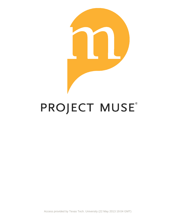

## PROJECT MUSE®

Access provided by Texas Tech. University (22 May 2013 19:04 GMT)